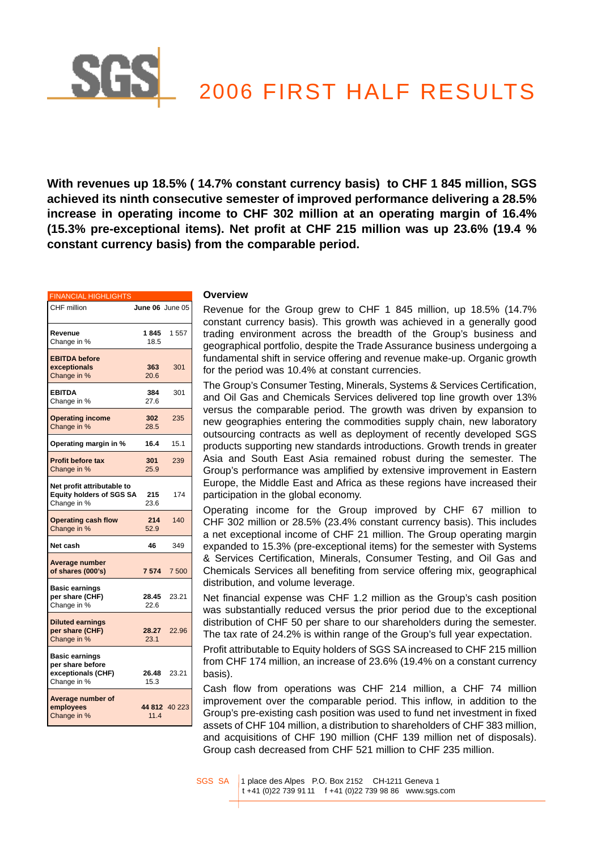# 2006 FIRST HALF RESULTS

**With revenues up 18.5% ( 14.7% constant currency basis) to CHF 1 845 million, SGS achieved its ninth consecutive semester of improved performance delivering a 28.5% increase in operating income to CHF 302 million at an operating margin of 16.4% (15.3% pre-exceptional items). Net profit at CHF 215 million was up 23.6% (19.4 % constant currency basis) from the comparable period.**

| <b>FINANCIAL HIGHLIGHTS</b>                                                    |                        |               |
|--------------------------------------------------------------------------------|------------------------|---------------|
| CHF million                                                                    | <b>June 06</b> June 05 |               |
| Revenue<br>Change in %                                                         | 1845<br>18.5           | 1557          |
| <b>EBITDA</b> before<br>exceptionals<br>Change in %                            | 363<br>20.6            | 301           |
| <b>EBITDA</b><br>Change in %                                                   | 384<br>27.6            | 301           |
| <b>Operating income</b><br>Change in %                                         | 302<br>28.5            | 235           |
| Operating margin in %                                                          | 16.4                   | 15.1          |
| <b>Profit before tax</b><br>Change in %                                        | 301<br>25.9            | 239           |
| Net profit attributable to<br><b>Equity holders of SGS SA</b><br>Change in %   | 215<br>23.6            | 174           |
| <b>Operating cash flow</b><br>Change in %                                      | 214<br>52.9            | 140           |
| Net cash                                                                       | 46                     | 349           |
| Average number<br>of shares (000's)                                            | 7574                   | 7500          |
| <b>Basic earnings</b><br>per share (CHF)<br>Change in %                        | 28.45<br>22.6          | 23.21         |
| <b>Diluted earnings</b><br>per share (CHF)<br>Change in %                      | 28.27<br>23.1          | 22.96         |
| <b>Basic earnings</b><br>per share before<br>exceptionals (CHF)<br>Change in % | 26.48<br>15.3          | 23.21         |
| Average number of<br>employees<br>Change in %                                  | 11.4                   | 44 812 40 223 |

## **Overview**

Revenue for the Group grew to CHF 1 845 million, up 18.5% (14.7% constant currency basis). This growth was achieved in a generally good trading environment across the breadth of the Group's business and geographical portfolio, despite the Trade Assurance business undergoing a fundamental shift in service offering and revenue make-up. Organic growth for the period was 10.4% at constant currencies.

The Group's Consumer Testing, Minerals, Systems & Services Certification, and Oil Gas and Chemicals Services delivered top line growth over 13% versus the comparable period. The growth was driven by expansion to new geographies entering the commodities supply chain, new laboratory outsourcing contracts as well as deployment of recently developed SGS products supporting new standards introductions. Growth trends in greater Asia and South East Asia remained robust during the semester. The Group's performance was amplified by extensive improvement in Eastern Europe, the Middle East and Africa as these regions have increased their participation in the global economy.

Operating income for the Group improved by CHF 67 million to CHF 302 million or 28.5% (23.4% constant currency basis). This includes a net exceptional income of CHF 21 million. The Group operating margin expanded to 15.3% (pre-exceptional items) for the semester with Systems & Services Certification, Minerals, Consumer Testing, and Oil Gas and Chemicals Services all benefiting from service offering mix, geographical distribution, and volume leverage.

Net financial expense was CHF 1.2 million as the Group's cash position was substantially reduced versus the prior period due to the exceptional distribution of CHF 50 per share to our shareholders during the semester. The tax rate of 24.2% is within range of the Group's full year expectation.

Profit attributable to Equity holders of SGS SA increased to CHF 215 million from CHF 174 million, an increase of 23.6% (19.4% on a constant currency basis).

Cash flow from operations was CHF 214 million, a CHF 74 million improvement over the comparable period. This inflow, in addition to the Group's pre-existing cash position was used to fund net investment in fixed assets of CHF 104 million, a distribution to shareholders of CHF 383 million, and acquisitions of CHF 190 million (CHF 139 million net of disposals). Group cash decreased from CHF 521 million to CHF 235 million.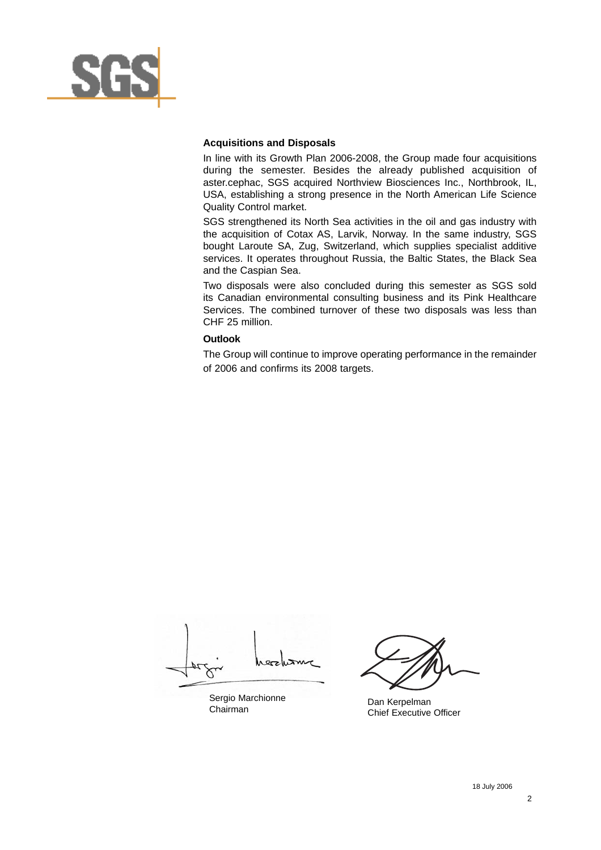

## **Acquisitions and Disposals**

In line with its Growth Plan 2006-2008, the Group made four acquisitions during the semester. Besides the already published acquisition of aster.cephac, SGS acquired Northview Biosciences Inc., Northbrook, IL, USA, establishing a strong presence in the North American Life Science Quality Control market.

SGS strengthened its North Sea activities in the oil and gas industry with the acquisition of Cotax AS, Larvik, Norway. In the same industry, SGS bought Laroute SA, Zug, Switzerland, which supplies specialist additive services. It operates throughout Russia, the Baltic States, the Black Sea and the Caspian Sea.

Two disposals were also concluded during this semester as SGS sold its Canadian environmental consulting business and its Pink Healthcare Services. The combined turnover of these two disposals was less than CHF 25 million.

## **Outlook**

The Group will continue to improve operating performance in the remainder of 2006 and confirms its 2008 targets.

Sergio Marchionne Chairman

Dan Kerpelman Chief Executive Officer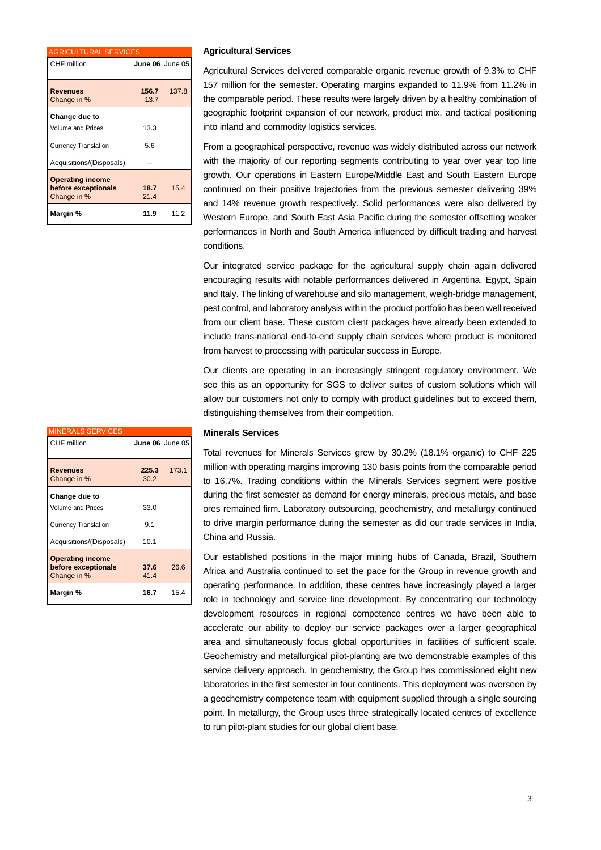| <b>AGRICULTURAL SERVICES</b>                                                                         |                 |       |
|------------------------------------------------------------------------------------------------------|-----------------|-------|
| CHF million                                                                                          | June 06 June 05 |       |
| <b>Revenues</b><br>Change in %                                                                       | 156.7<br>13.7   | 137.8 |
| Change due to<br><b>Volume and Prices</b><br><b>Currency Translation</b><br>Acquisitions/(Disposals) | 13.3<br>5.6     |       |
| <b>Operating income</b><br>before exceptionals<br>Change in %                                        | 18.7<br>21.4    | 154   |
| Margin %                                                                                             | 11.9            | 11.2  |

## **Agricultural Services**

Agricultural Services delivered comparable organic revenue growth of 9.3% to CHF 157 million for the semester. Operating margins expanded to 11.9% from 11.2% in the comparable period. These results were largely driven by a healthy combination of geographic footprint expansion of our network, product mix, and tactical positioning into inland and commodity logistics services.

From a geographical perspective, revenue was widely distributed across our network with the majority of our reporting segments contributing to year over year top line growth. Our operations in Eastern Europe/Middle East and South Eastern Europe continued on their positive trajectories from the previous semester delivering 39% and 14% revenue growth respectively. Solid performances were also delivered by Western Europe, and South East Asia Pacific during the semester offsetting weaker performances in North and South America influenced by difficult trading and harvest conditions.

Our integrated service package for the agricultural supply chain again delivered encouraging results with notable performances delivered in Argentina, Egypt, Spain and Italy. The linking of warehouse and silo management, weigh-bridge management, pest control, and laboratory analysis within the product portfolio has been well received from our client base. These custom client packages have already been extended to include trans-national end-to-end supply chain services where product is monitored from harvest to processing with particular success in Europe.

Our clients are operating in an increasingly stringent regulatory environment. We see this as an opportunity for SGS to deliver suites of custom solutions which will allow our customers not only to comply with product guidelines but to exceed them, distinguishing themselves from their competition.

#### **Minerals Services**

Total revenues for Minerals Services grew by 30.2% (18.1% organic) to CHF 225 million with operating margins improving 130 basis points from the comparable period to 16.7%. Trading conditions within the Minerals Services segment were positive during the first semester as demand for energy minerals, precious metals, and base ores remained firm. Laboratory outsourcing, geochemistry, and metallurgy continued to drive margin performance during the semester as did our trade services in India, China and Russia.

Our established positions in the major mining hubs of Canada, Brazil, Southern Africa and Australia continued to set the pace for the Group in revenue growth and operating performance. In addition, these centres have increasingly played a larger role in technology and service line development. By concentrating our technology development resources in regional competence centres we have been able to accelerate our ability to deploy our service packages over a larger geographical area and simultaneously focus global opportunities in facilities of sufficient scale. Geochemistry and metallurgical pilot-planting are two demonstrable examples of this service delivery approach. In geochemistry, the Group has commissioned eight new laboratories in the first semester in four continents. This deployment was overseen by a geochemistry competence team with equipment supplied through a single sourcing point. In metallurgy, the Group uses three strategically located centres of excellence to run pilot-plant studies for our global client base.

| <b>MINERALS SERVICES</b>                                      |                 |       |
|---------------------------------------------------------------|-----------------|-------|
| CHF million                                                   | June 06 June 05 |       |
|                                                               |                 |       |
| <b>Revenues</b>                                               | 225.3           | 173.1 |
| Change in %                                                   | 30.2            |       |
| Change due to                                                 |                 |       |
| <b>Volume and Prices</b>                                      | 33.0            |       |
| <b>Currency Translation</b>                                   | 9.1             |       |
| Acquisitions/(Disposals)                                      | 10.1            |       |
| <b>Operating income</b><br>before exceptionals<br>Change in % | 37.6<br>41.4    | 26.6  |
| Margin %                                                      | 16.7            | 15.4  |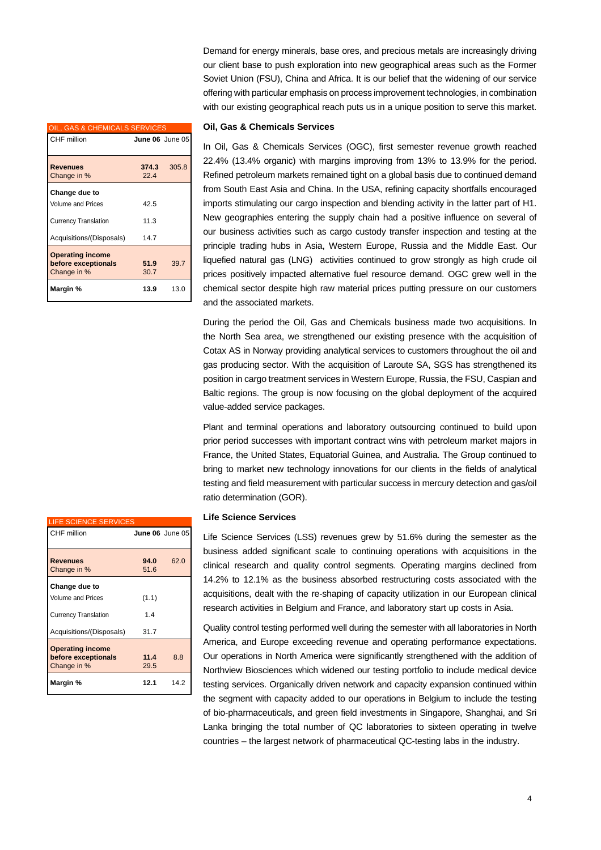| OIL, GAS & CHEMICALS SERVICES                                 |              |                 |
|---------------------------------------------------------------|--------------|-----------------|
| CHF million                                                   |              | June 06 June 05 |
|                                                               |              |                 |
| <b>Revenues</b>                                               | 374.3        | 305.8           |
| Change in %                                                   | 22.4         |                 |
| Change due to                                                 |              |                 |
| <b>Volume and Prices</b>                                      | 42.5         |                 |
| <b>Currency Translation</b>                                   | 11.3         |                 |
| Acquisitions/(Disposals)                                      | 14.7         |                 |
| <b>Operating income</b><br>before exceptionals<br>Change in % | 51.9<br>30.7 | 39.7            |
| Margin %                                                      | 13.9         | 13.0            |

Demand for energy minerals, base ores, and precious metals are increasingly driving our client base to push exploration into new geographical areas such as the Former Soviet Union (FSU), China and Africa. It is our belief that the widening of our service offering with particular emphasis on process improvement technologies, in combination with our existing geographical reach puts us in a unique position to serve this market.

## **Oil, Gas & Chemicals Services**

In Oil, Gas & Chemicals Services (OGC), first semester revenue growth reached 22.4% (13.4% organic) with margins improving from 13% to 13.9% for the period. Refined petroleum markets remained tight on a global basis due to continued demand from South East Asia and China. In the USA, refining capacity shortfalls encouraged imports stimulating our cargo inspection and blending activity in the latter part of H1. New geographies entering the supply chain had a positive influence on several of our business activities such as cargo custody transfer inspection and testing at the principle trading hubs in Asia, Western Europe, Russia and the Middle East. Our liquefied natural gas (LNG) activities continued to grow strongly as high crude oil prices positively impacted alternative fuel resource demand. OGC grew well in the chemical sector despite high raw material prices putting pressure on our customers and the associated markets.

During the period the Oil, Gas and Chemicals business made two acquisitions. In the North Sea area, we strengthened our existing presence with the acquisition of Cotax AS in Norway providing analytical services to customers throughout the oil and gas producing sector. With the acquisition of Laroute SA, SGS has strengthened its position in cargo treatment services in Western Europe, Russia, the FSU, Caspian and Baltic regions. The group is now focusing on the global deployment of the acquired value-added service packages.

Plant and terminal operations and laboratory outsourcing continued to build upon prior period successes with important contract wins with petroleum market majors in France, the United States, Equatorial Guinea, and Australia. The Group continued to bring to market new technology innovations for our clients in the fields of analytical testing and field measurement with particular success in mercury detection and gas/oil ratio determination (GOR).

## **Life Science Services**

Life Science Services (LSS) revenues grew by 51.6% during the semester as the business added significant scale to continuing operations with acquisitions in the clinical research and quality control segments. Operating margins declined from 14.2% to 12.1% as the business absorbed restructuring costs associated with the acquisitions, dealt with the re-shaping of capacity utilization in our European clinical research activities in Belgium and France, and laboratory start up costs in Asia.

Quality control testing performed well during the semester with all laboratories in North America, and Europe exceeding revenue and operating performance expectations. Our operations in North America were significantly strengthened with the addition of Northview Biosciences which widened our testing portfolio to include medical device testing services. Organically driven network and capacity expansion continued within the segment with capacity added to our operations in Belgium to include the testing of bio-pharmaceuticals, and green field investments in Singapore, Shanghai, and Sri Lanka bringing the total number of QC laboratories to sixteen operating in twelve countries – the largest network of pharmaceutical QC-testing labs in the industry.

| LIFE SCIENCE SERVICES                                         |                 |      |
|---------------------------------------------------------------|-----------------|------|
| CHF million                                                   | June 06 June 05 |      |
|                                                               |                 |      |
| <b>Revenues</b>                                               | 94.0            | 62.0 |
| Change in %                                                   | 51.6            |      |
| Change due to                                                 |                 |      |
| <b>Volume and Prices</b>                                      | (1.1)           |      |
| <b>Currency Translation</b>                                   | 1.4             |      |
| Acquisitions/(Disposals)                                      | 31.7            |      |
| <b>Operating income</b><br>before exceptionals<br>Change in % | 11.4<br>29.5    | 8.8  |
| Margin %                                                      | 12.1            | 14.2 |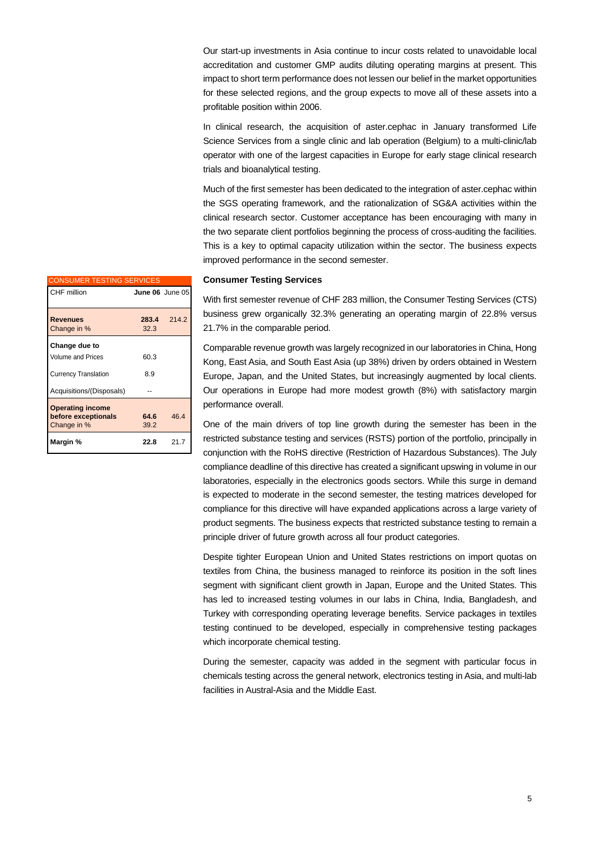Our start-up investments in Asia continue to incur costs related to unavoidable local accreditation and customer GMP audits diluting operating margins at present. This impact to short term performance does not lessen our belief in the market opportunities for these selected regions, and the group expects to move all of these assets into a profitable position within 2006.

In clinical research, the acquisition of aster.cephac in January transformed Life Science Services from a single clinic and lab operation (Belgium) to a multi-clinic/lab operator with one of the largest capacities in Europe for early stage clinical research trials and bioanalytical testing.

Much of the first semester has been dedicated to the integration of aster.cephac within the SGS operating framework, and the rationalization of SG&A activities within the clinical research sector. Customer acceptance has been encouraging with many in the two separate client portfolios beginning the process of cross-auditing the facilities. This is a key to optimal capacity utilization within the sector. The business expects improved performance in the second semester.

| <b>CONSUMER TESTING SERVICES</b>                              |                 |       |
|---------------------------------------------------------------|-----------------|-------|
| CHF million                                                   | June 06 June 05 |       |
| <b>Revenues</b><br>Change in %                                | 283.4<br>32.3   | 214.2 |
| Change due to<br>Volume and Prices                            | 60.3            |       |
| <b>Currency Translation</b>                                   | 8.9             |       |
| Acquisitions/(Disposals)                                      |                 |       |
| <b>Operating income</b><br>before exceptionals<br>Change in % | 64.6<br>39.2    | 46.4  |
| Margin %                                                      | 22.8            | 21.7  |

## **Consumer Testing Services**

With first semester revenue of CHF 283 million, the Consumer Testing Services (CTS) business grew organically 32.3% generating an operating margin of 22.8% versus 21.7% in the comparable period.

Comparable revenue growth was largely recognized in our laboratories in China, Hong Kong, East Asia, and South East Asia (up 38%) driven by orders obtained in Western Europe, Japan, and the United States, but increasingly augmented by local clients. Our operations in Europe had more modest growth (8%) with satisfactory margin performance overall.

One of the main drivers of top line growth during the semester has been in the restricted substance testing and services (RSTS) portion of the portfolio, principally in conjunction with the RoHS directive (Restriction of Hazardous Substances). The July compliance deadline of this directive has created a significant upswing in volume in our laboratories, especially in the electronics goods sectors. While this surge in demand is expected to moderate in the second semester, the testing matrices developed for compliance for this directive will have expanded applications across a large variety of product segments. The business expects that restricted substance testing to remain a principle driver of future growth across all four product categories.

Despite tighter European Union and United States restrictions on import quotas on textiles from China, the business managed to reinforce its position in the soft lines segment with significant client growth in Japan, Europe and the United States. This has led to increased testing volumes in our labs in China, India, Bangladesh, and Turkey with corresponding operating leverage benefits. Service packages in textiles testing continued to be developed, especially in comprehensive testing packages which incorporate chemical testing.

During the semester, capacity was added in the segment with particular focus in chemicals testing across the general network, electronics testing in Asia, and multi-lab facilities in Austral-Asia and the Middle East.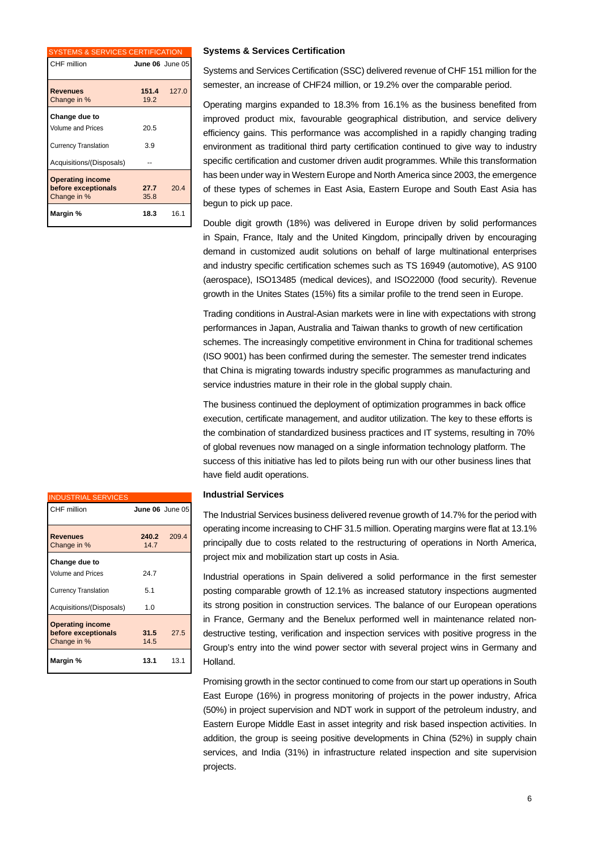| <b>SYSTEMS &amp; SERVICES CERTIFICATION</b>                                                          |                 |       |
|------------------------------------------------------------------------------------------------------|-----------------|-------|
| CHF million                                                                                          | June 06 June 05 |       |
| <b>Revenues</b><br>Change in %                                                                       | 151.4<br>19.2   | 127.0 |
| Change due to<br><b>Volume and Prices</b><br><b>Currency Translation</b><br>Acquisitions/(Disposals) | 20.5<br>3.9     |       |
| <b>Operating income</b><br>before exceptionals<br>Change in %                                        | 27.7<br>35.8    | 20.4  |
| Margin %                                                                                             | 18.3            | 16.1  |

#### **Systems & Services Certification**

Systems and Services Certification (SSC) delivered revenue of CHF 151 million for the semester, an increase of CHF24 million, or 19.2% over the comparable period.

Operating margins expanded to 18.3% from 16.1% as the business benefited from improved product mix, favourable geographical distribution, and service delivery efficiency gains. This performance was accomplished in a rapidly changing trading environment as traditional third party certification continued to give way to industry specific certification and customer driven audit programmes. While this transformation has been under way in Western Europe and North America since 2003, the emergence of these types of schemes in East Asia, Eastern Europe and South East Asia has begun to pick up pace.

Double digit growth (18%) was delivered in Europe driven by solid performances in Spain, France, Italy and the United Kingdom, principally driven by encouraging demand in customized audit solutions on behalf of large multinational enterprises and industry specific certification schemes such as TS 16949 (automotive), AS 9100 (aerospace), ISO13485 (medical devices), and ISO22000 (food security). Revenue growth in the Unites States (15%) fits a similar profile to the trend seen in Europe.

Trading conditions in Austral-Asian markets were in line with expectations with strong performances in Japan, Australia and Taiwan thanks to growth of new certification schemes. The increasingly competitive environment in China for traditional schemes (ISO 9001) has been confirmed during the semester. The semester trend indicates that China is migrating towards industry specific programmes as manufacturing and service industries mature in their role in the global supply chain.

The business continued the deployment of optimization programmes in back office execution, certificate management, and auditor utilization. The key to these efforts is the combination of standardized business practices and IT systems, resulting in 70% of global revenues now managed on a single information technology platform. The success of this initiative has led to pilots being run with our other business lines that have field audit operations.

## **Industrial Services**

The Industrial Services business delivered revenue growth of 14.7% for the period with operating income increasing to CHF 31.5 million. Operating margins were flat at 13.1% principally due to costs related to the restructuring of operations in North America, project mix and mobilization start up costs in Asia.

Industrial operations in Spain delivered a solid performance in the first semester posting comparable growth of 12.1% as increased statutory inspections augmented its strong position in construction services. The balance of our European operations in France, Germany and the Benelux performed well in maintenance related nondestructive testing, verification and inspection services with positive progress in the Group's entry into the wind power sector with several project wins in Germany and Holland.

Promising growth in the sector continued to come from our start up operations in South East Europe (16%) in progress monitoring of projects in the power industry, Africa (50%) in project supervision and NDT work in support of the petroleum industry, and Eastern Europe Middle East in asset integrity and risk based inspection activities. In addition, the group is seeing positive developments in China (52%) in supply chain services, and India (31%) in infrastructure related inspection and site supervision projects.

| <b>INDUSTRIAL SERVICES</b>                                    |                 |       |
|---------------------------------------------------------------|-----------------|-------|
| CHF million                                                   | June 06 June 05 |       |
| <b>Revenues</b><br>Change in %                                | 240.2<br>147    | 209.4 |
| Change due to                                                 |                 |       |
| <b>Volume and Prices</b><br><b>Currency Translation</b>       | 24.7<br>5.1     |       |
| Acquisitions/(Disposals)                                      | 1.0             |       |
| <b>Operating income</b><br>before exceptionals<br>Change in % | 31.5<br>14.5    | 27.5  |
| Margin %                                                      | 13.1            | 13.1  |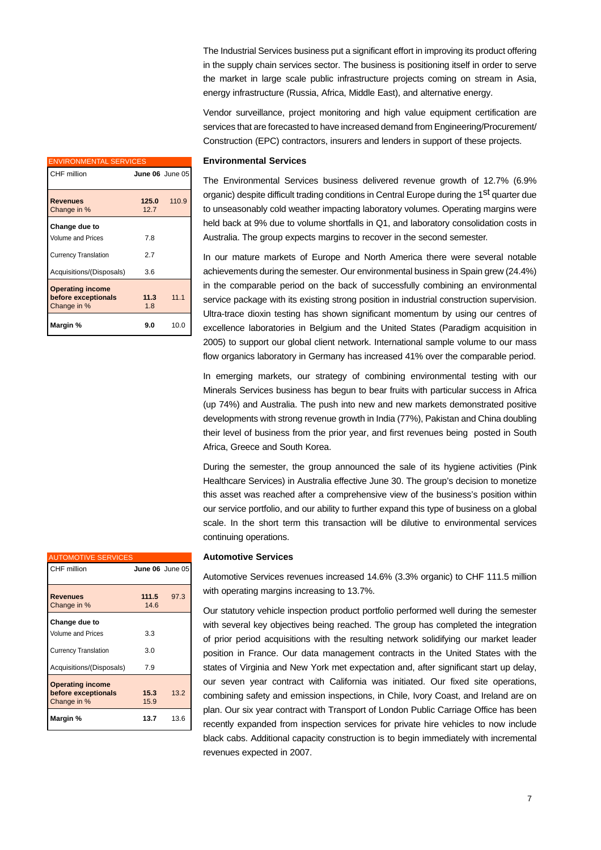The Industrial Services business put a significant effort in improving its product offering in the supply chain services sector. The business is positioning itself in order to serve the market in large scale public infrastructure projects coming on stream in Asia, energy infrastructure (Russia, Africa, Middle East), and alternative energy.

Vendor surveillance, project monitoring and high value equipment certification are services that are forecasted to have increased demand from Engineering/Procurement/ Construction (EPC) contractors, insurers and lenders in support of these projects.

| <b>ENVIRONMENTAL SERVICES</b>                                 |               |                 |
|---------------------------------------------------------------|---------------|-----------------|
| CHF million                                                   |               | June 06 June 05 |
| <b>Revenues</b><br>Change in %                                | 125.0<br>12.7 | 110.9           |
| Change due to<br>Volume and Prices                            | 7.8           |                 |
| <b>Currency Translation</b>                                   | 2.7           |                 |
| Acquisitions/(Disposals)                                      | 3.6           |                 |
| <b>Operating income</b><br>before exceptionals<br>Change in % | 11.3<br>1.8   | 1111            |
| Margin %                                                      | 9.0           | 10.0            |

#### **Environmental Services**

The Environmental Services business delivered revenue growth of 12.7% (6.9% organic) despite difficult trading conditions in Central Europe during the 1<sup>st</sup> quarter due to unseasonably cold weather impacting laboratory volumes. Operating margins were held back at 9% due to volume shortfalls in Q1, and laboratory consolidation costs in Australia. The group expects margins to recover in the second semester.

In our mature markets of Europe and North America there were several notable achievements during the semester. Our environmental business in Spain grew (24.4%) in the comparable period on the back of successfully combining an environmental service package with its existing strong position in industrial construction supervision. Ultra-trace dioxin testing has shown significant momentum by using our centres of excellence laboratories in Belgium and the United States (Paradigm acquisition in 2005) to support our global client network. International sample volume to our mass flow organics laboratory in Germany has increased 41% over the comparable period.

In emerging markets, our strategy of combining environmental testing with our Minerals Services business has begun to bear fruits with particular success in Africa (up 74%) and Australia. The push into new and new markets demonstrated positive developments with strong revenue growth in India (77%), Pakistan and China doubling their level of business from the prior year, and first revenues being posted in South Africa, Greece and South Korea.

During the semester, the group announced the sale of its hygiene activities (Pink Healthcare Services) in Australia effective June 30. The group's decision to monetize this asset was reached after a comprehensive view of the business's position within our service portfolio, and our ability to further expand this type of business on a global scale. In the short term this transaction will be dilutive to environmental services continuing operations.

## **Automotive Services**

Automotive Services revenues increased 14.6% (3.3% organic) to CHF 111.5 million with operating margins increasing to 13.7%.

Our statutory vehicle inspection product portfolio performed well during the semester with several key objectives being reached. The group has completed the integration of prior period acquisitions with the resulting network solidifying our market leader position in France. Our data management contracts in the United States with the states of Virginia and New York met expectation and, after significant start up delay, our seven year contract with California was initiated. Our fixed site operations, combining safety and emission inspections, in Chile, Ivory Coast, and Ireland are on plan. Our six year contract with Transport of London Public Carriage Office has been recently expanded from inspection services for private hire vehicles to now include black cabs. Additional capacity construction is to begin immediately with incremental revenues expected in 2007.

| <b>AUTOMOTIVE SERVICES</b>                                    |                        |      |
|---------------------------------------------------------------|------------------------|------|
| CHF million                                                   | <b>June 06</b> June 05 |      |
| <b>Revenues</b><br>Change in %                                | 111.5<br>14.6          | 97.3 |
| Change due to                                                 |                        |      |
| <b>Volume and Prices</b>                                      | 3.3                    |      |
| <b>Currency Translation</b>                                   | 3.0                    |      |
| Acquisitions/(Disposals)                                      | 7.9                    |      |
| <b>Operating income</b><br>before exceptionals<br>Change in % | 15.3<br>15.9           | 13.2 |
| Margin %                                                      | 13.7                   | 13.6 |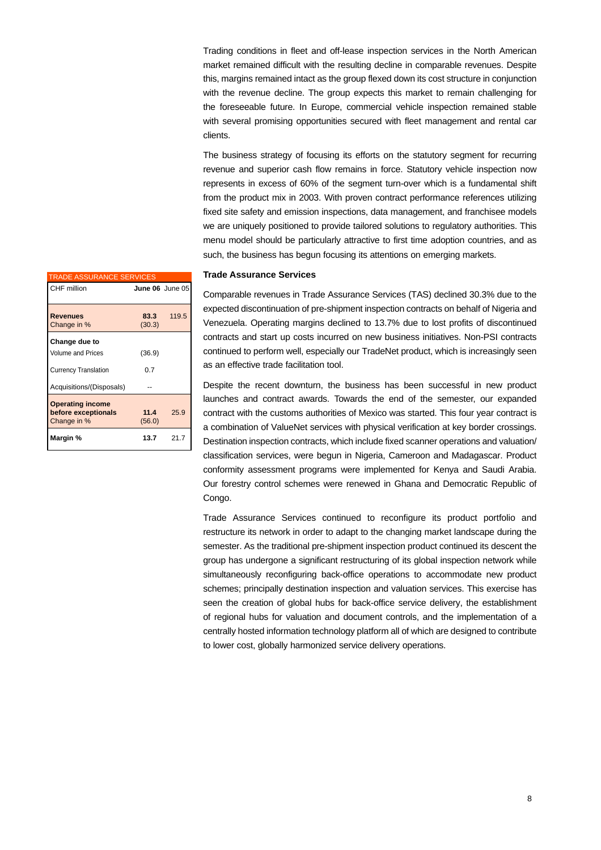Trading conditions in fleet and off-lease inspection services in the North American market remained difficult with the resulting decline in comparable revenues. Despite this, margins remained intact as the group flexed down its cost structure in conjunction with the revenue decline. The group expects this market to remain challenging for the foreseeable future. In Europe, commercial vehicle inspection remained stable with several promising opportunities secured with fleet management and rental car clients.

The business strategy of focusing its efforts on the statutory segment for recurring revenue and superior cash flow remains in force. Statutory vehicle inspection now represents in excess of 60% of the segment turn-over which is a fundamental shift from the product mix in 2003. With proven contract performance references utilizing fixed site safety and emission inspections, data management, and franchisee models we are uniquely positioned to provide tailored solutions to regulatory authorities. This menu model should be particularly attractive to first time adoption countries, and as such, the business has begun focusing its attentions on emerging markets.

## **Trade Assurance Services**

| <b>TRADE ASSURANCE SERVICES</b>                               |                 |       |
|---------------------------------------------------------------|-----------------|-------|
| CHF million                                                   | June 06 June 05 |       |
|                                                               |                 |       |
| <b>Revenues</b><br>Change in %                                | 83.3<br>(30.3)  | 119.5 |
| Change due to                                                 |                 |       |
| Volume and Prices                                             | (36.9)          |       |
| <b>Currency Translation</b>                                   | 0.7             |       |
| Acquisitions/(Disposals)                                      |                 |       |
| <b>Operating income</b><br>before exceptionals<br>Change in % | 11.4<br>(56.0)  | 25.9  |
| Margin %                                                      | 13.7            | 21.7  |

Comparable revenues in Trade Assurance Services (TAS) declined 30.3% due to the expected discontinuation of pre-shipment inspection contracts on behalf of Nigeria and Venezuela. Operating margins declined to 13.7% due to lost profits of discontinued contracts and start up costs incurred on new business initiatives. Non-PSI contracts continued to perform well, especially our TradeNet product, which is increasingly seen as an effective trade facilitation tool.

Despite the recent downturn, the business has been successful in new product launches and contract awards. Towards the end of the semester, our expanded contract with the customs authorities of Mexico was started. This four year contract is a combination of ValueNet services with physical verification at key border crossings. Destination inspection contracts, which include fixed scanner operations and valuation/ classification services, were begun in Nigeria, Cameroon and Madagascar. Product conformity assessment programs were implemented for Kenya and Saudi Arabia. Our forestry control schemes were renewed in Ghana and Democratic Republic of Congo.

Trade Assurance Services continued to reconfigure its product portfolio and restructure its network in order to adapt to the changing market landscape during the semester. As the traditional pre-shipment inspection product continued its descent the group has undergone a significant restructuring of its global inspection network while simultaneously reconfiguring back-office operations to accommodate new product schemes; principally destination inspection and valuation services. This exercise has seen the creation of global hubs for back-office service delivery, the establishment of regional hubs for valuation and document controls, and the implementation of a centrally hosted information technology platform all of which are designed to contribute to lower cost, globally harmonized service delivery operations.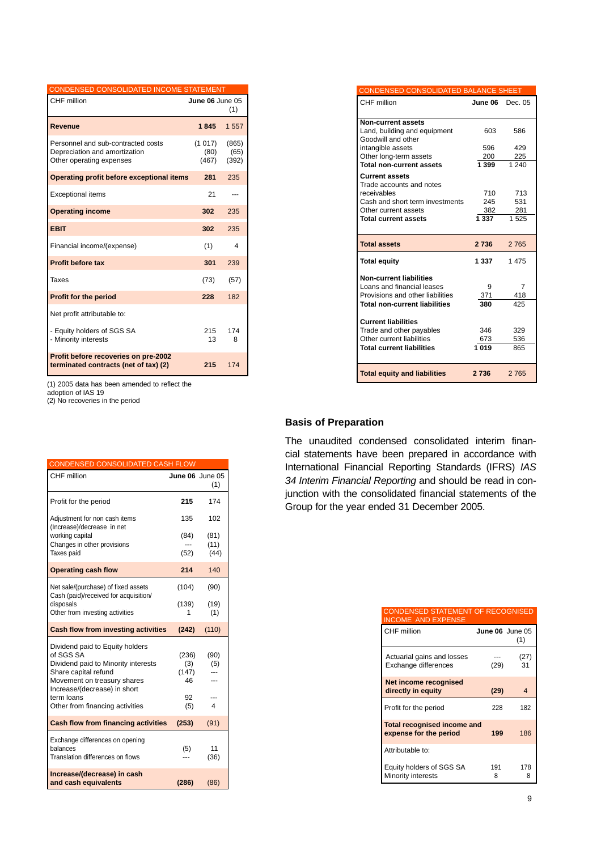| CONDENSED CONSOLIDATED INCOME STATEMENT                                                         |                         |                        |  |
|-------------------------------------------------------------------------------------------------|-------------------------|------------------------|--|
| CHF million                                                                                     | <b>June 06</b> June 05  | (1)                    |  |
| Revenue                                                                                         | 1845                    | 1 557                  |  |
| Personnel and sub-contracted costs<br>Depreciation and amortization<br>Other operating expenses | (1017)<br>(80)<br>(467) | (865)<br>(65)<br>(392) |  |
| Operating profit before exceptional items                                                       | 281                     | 235                    |  |
| <b>Exceptional items</b>                                                                        | 21                      |                        |  |
| <b>Operating income</b>                                                                         | 302                     | 235                    |  |
| <b>EBIT</b>                                                                                     | 302                     | 235                    |  |
| Financial income/(expense)                                                                      | (1)                     | 4                      |  |
| Profit before tax                                                                               | 301                     | 239                    |  |
| Taxes                                                                                           | (73)                    | (57)                   |  |
| <b>Profit for the period</b>                                                                    | 228                     | 182                    |  |
| Net profit attributable to:                                                                     |                         |                        |  |
| - Equity holders of SGS SA<br>- Minority interests                                              | 215<br>13               | 174<br>8               |  |
| Profit before recoveries on pre-2002<br>terminated contracts (net of tax) (2)                   | 215                     | 174                    |  |

(1) 2005 data has been amended to reflect the

adoption of IAS 19

(2) No recoveries in the period

| <b>CONDENSED CONSOLIDATED CASH FLOW</b>                                      |                 |            |
|------------------------------------------------------------------------------|-----------------|------------|
| CHF million                                                                  | June 06 June 05 | (1)        |
| Profit for the period                                                        | 215             | 174        |
| Adjustment for non cash items<br>(Increase)/decrease in net                  | 135             | 102        |
| working capital                                                              | (84)            | (81)       |
| Changes in other provisions                                                  |                 | (11)       |
| Taxes paid                                                                   | (52)            | (44)       |
| <b>Operating cash flow</b>                                                   | 214             | 140        |
| Net sale/(purchase) of fixed assets<br>Cash (paid)/received for acquisition/ | (104)           | (90)       |
| disposals                                                                    | (139)           | (19)       |
| Other from investing activities                                              | 1               | (1)        |
| <b>Cash flow from investing activities</b>                                   | (242)           | (110)      |
| Dividend paid to Equity holders                                              |                 |            |
| of SGS SA                                                                    | (236)           | (90)       |
| Dividend paid to Minority interests<br>Share capital refund                  | (3)<br>(147)    | (5)        |
| Movement on treasury shares<br>Increase/(decrease) in short                  | 46              |            |
| term loans                                                                   | 92              |            |
| Other from financing activities                                              | (5)             | 4          |
| <b>Cash flow from financing activities</b>                                   | (253)           | (91)       |
| Exchange differences on opening                                              |                 |            |
| balances<br>Translation differences on flows                                 | (5)             | 11<br>(36) |
| Increase/(decrease) in cash<br>and cash equivalents                          | (286)           | (86)       |

| CONDENSED CONSOLIDATED BALANCE SHEET    |         |         |
|-----------------------------------------|---------|---------|
| CHF million                             | June 06 | Dec. 05 |
| <b>Non-current assets</b>               |         |         |
| Land, building and equipment            | 603     | 586     |
| Goodwill and other                      |         |         |
| intangible assets                       | 596     | 429     |
| Other long-term assets                  | 200     | 225     |
| <b>Total non-current assets</b>         | 1399    | 1240    |
| <b>Current assets</b>                   |         |         |
| Trade accounts and notes<br>receivables | 710     | 713     |
| Cash and short term investments         | 245     | 531     |
| Other current assets                    | 382     | 281     |
| <b>Total current assets</b>             | 1 337   | 1525    |
|                                         |         |         |
| <b>Total assets</b>                     | 2736    | 2 7 6 5 |
| <b>Total equity</b>                     | 1 3 3 7 | 1475    |
| <b>Non-current liabilities</b>          |         |         |
| Loans and financial leases              | 9       | 7       |
| Provisions and other liabilities        | 371     | 418     |
| <b>Total non-current liabilities</b>    | 380     | 425     |
| <b>Current liabilities</b>              |         |         |
| Trade and other payables                | 346     | 329     |
| Other current liabilities               | 673     | 536     |
| <b>Total current liabilities</b>        | 1019    | 865     |
|                                         |         |         |
| <b>Total equity and liabilities</b>     | 2 7 3 6 | 2 7 6 5 |

## **Basis of Preparation**

The unaudited condensed consolidated interim financial statements have been prepared in accordance with International Financial Reporting Standards (IFRS) *IAS 34 Interim Financial Reporting* and should be read in conjunction with the consolidated financial statements of the Group for the year ended 31 December 2005.

| <b>CONDENSED STATEMENT OF RECOGNISED</b><br><b>INCOME AND EXPENSE</b> |                 |                |
|-----------------------------------------------------------------------|-----------------|----------------|
| CHF million                                                           | June 06 June 05 | (1)            |
| Actuarial gains and losses<br>Exchange differences                    | (29)            | (27)<br>31     |
| Net income recognised<br>directly in equity                           | (29)            | $\overline{4}$ |
| Profit for the period                                                 | 228             | 182            |
| <b>Total recognised income and</b><br>expense for the period          | 199             | 186            |
| Attributable to:                                                      |                 |                |
| Equity holders of SGS SA<br>Minority interests                        | 191<br>8        | 178<br>8       |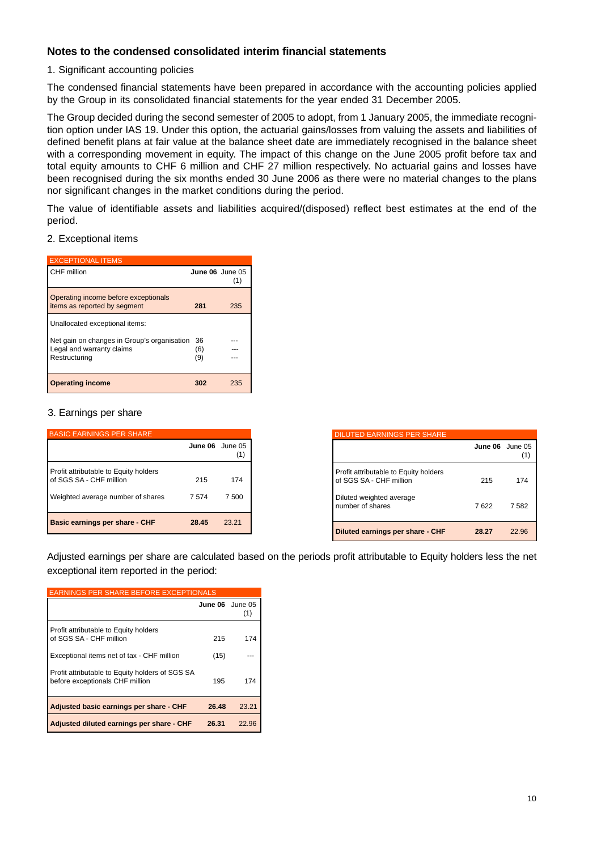## **Notes to the condensed consolidated interim financial statements**

## 1. Significant accounting policies

The condensed financial statements have been prepared in accordance with the accounting policies applied by the Group in its consolidated financial statements for the year ended 31 December 2005.

The Group decided during the second semester of 2005 to adopt, from 1 January 2005, the immediate recognition option under IAS 19. Under this option, the actuarial gains/losses from valuing the assets and liabilities of defined benefit plans at fair value at the balance sheet date are immediately recognised in the balance sheet with a corresponding movement in equity. The impact of this change on the June 2005 profit before tax and total equity amounts to CHF 6 million and CHF 27 million respectively. No actuarial gains and losses have been recognised during the six months ended 30 June 2006 as there were no material changes to the plans nor significant changes in the market conditions during the period.

The value of identifiable assets and liabilities acquired/(disposed) reflect best estimates at the end of the period.

## 2. Exceptional items

| <b>EXCEPTIONAL ITEMS</b>                                             |                 |     |
|----------------------------------------------------------------------|-----------------|-----|
| CHF million                                                          | June 06 June 05 | (1) |
| Operating income before exceptionals<br>items as reported by segment | 281             | 235 |
| Unallocated exceptional items:                                       |                 |     |
| Net gain on changes in Group's organisation                          | 36              |     |
| Legal and warranty claims                                            | (6)             |     |
| Restructuring                                                        | (9)             |     |
|                                                                      |                 |     |
| <b>Operating income</b>                                              | 302             | 235 |

## 3. Earnings per share

| <b>BASIC EARNINGS PER SHARE</b>                                  |         |                |
|------------------------------------------------------------------|---------|----------------|
|                                                                  | June 06 | June 05<br>(1) |
| Profit attributable to Equity holders<br>of SGS SA - CHF million | 215     | 174            |
| Weighted average number of shares                                | 7574    | 7 500          |
| Basic earnings per share - CHF                                   | 28.45   | 23.21          |

| <b>DILUTED EARNINGS PER SHARE</b>                                |                 |       |
|------------------------------------------------------------------|-----------------|-------|
|                                                                  | June 06 June 05 |       |
| Profit attributable to Equity holders<br>of SGS SA - CHF million | 215             | 174   |
| Diluted weighted average<br>number of shares                     | 7622            | 7 582 |
| Diluted earnings per share - CHF                                 | 28.27           | 22.96 |

Adjusted earnings per share are calculated based on the periods profit attributable to Equity holders less the net exceptional item reported in the period:

| <b>EARNINGS PER SHARE BEFORE EXCEPTIONALS</b>                                      |                 |       |  |
|------------------------------------------------------------------------------------|-----------------|-------|--|
|                                                                                    | June 06 June 05 | (1)   |  |
| Profit attributable to Equity holders<br>of SGS SA - CHF million                   | 215             | 174   |  |
| Exceptional items net of tax - CHF million                                         | (15)            |       |  |
| Profit attributable to Equity holders of SGS SA<br>before exceptionals CHF million | 195             | 174   |  |
| Adjusted basic earnings per share - CHF                                            | 26.48           | 23.21 |  |
| Adjusted diluted earnings per share - CHF                                          | 26.31           | 22.96 |  |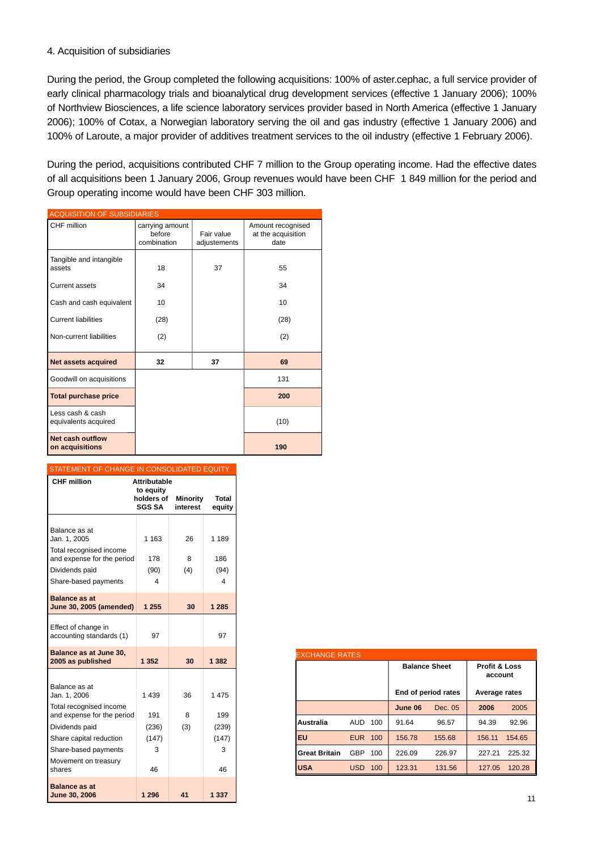## 4. Acquisition of subsidiaries

During the period, the Group completed the following acquisitions: 100% of aster.cephac, a full service provider of early clinical pharmacology trials and bioanalytical drug development services (effective 1 January 2006); 100% of Northview Biosciences, a life science laboratory services provider based in North America (effective 1 January 2006); 100% of Cotax, a Norwegian laboratory serving the oil and gas industry (effective 1 January 2006) and 100% of Laroute, a major provider of additives treatment services to the oil industry (effective 1 February 2006).

During the period, acquisitions contributed CHF 7 million to the Group operating income. Had the effective dates of all acquisitions been 1 January 2006, Group revenues would have been CHF 1 849 million for the period and Group operating income would have been CHF 303 million.

| <b>ACQUISITION OF SUBSIDIARIES</b>       |                                          |                            |                                                 |
|------------------------------------------|------------------------------------------|----------------------------|-------------------------------------------------|
| CHF million                              | carrying amount<br>before<br>combination | Fair value<br>adjustements | Amount recognised<br>at the acquisition<br>date |
| Tangible and intangible<br>assets        | 18                                       | 37                         | 55                                              |
| <b>Current assets</b>                    | 34                                       |                            | 34                                              |
| Cash and cash equivalent                 | 10                                       |                            | 10                                              |
| <b>Current liabilities</b>               | (28)                                     |                            | (28)                                            |
| Non-current liabilities                  | (2)                                      |                            | (2)                                             |
| <b>Net assets acquired</b>               | 32                                       | 37                         | 69                                              |
| Goodwill on acquisitions                 |                                          |                            | 131                                             |
| <b>Total purchase price</b>              |                                          |                            | 200                                             |
| Less cash & cash<br>equivalents acquired |                                          |                            | (10)                                            |
| Net cash outflow<br>on acquisitions      |                                          |                            | 190                                             |

#### STATEMENT OF CHANGE IN CONSOLIDATED EQUITY

| <b>CHF</b> million                              | <b>Attributable</b><br>to equity |                      |                        |
|-------------------------------------------------|----------------------------------|----------------------|------------------------|
|                                                 | holders of<br><b>SGS SA</b>      | Minority<br>interest | <b>Total</b><br>equity |
|                                                 |                                  |                      |                        |
| Balance as at<br>Jan. 1, 2005                   | 1 1 6 3                          | 26                   | 1 1 8 9                |
| Total recognised income                         |                                  |                      |                        |
| and expense for the period<br>Dividends paid    | 178<br>(90)                      | 8<br>(4)             | 186<br>(94)            |
| Share-based payments                            | 4                                |                      | 4                      |
|                                                 |                                  |                      |                        |
| <b>Balance as at</b><br>June 30, 2005 (amended) | 1 255                            | 30                   | 1 2 8 5                |
| Effect of change in<br>accounting standards (1) | 97                               |                      | 97                     |
| Balance as at June 30,<br>2005 as published     | 1 352                            | 30                   | 1 3 8 2                |
|                                                 |                                  |                      |                        |
| Balance as at<br>Jan. 1, 2006                   | 1 4 3 9                          | 36                   | 1 475                  |
| Total recognised income                         |                                  |                      |                        |
| and expense for the period                      | 191                              | 8                    | 199                    |
| Dividends paid                                  | (236)                            | (3)                  | (239)                  |
| Share capital reduction                         | (147)                            |                      | (147)                  |
| Share-based payments                            | 3                                |                      | 3                      |
| Movement on treasury<br>shares                  | 46                               |                      | 46                     |
| <b>Balance as at</b><br>June 30, 2006           | 1 2 9 6                          | 41                   | 1 3 3 7                |

| <b>EXCHANGE RATES</b> |            |     |                      |         |                                     |        |
|-----------------------|------------|-----|----------------------|---------|-------------------------------------|--------|
|                       |            |     | <b>Balance Sheet</b> |         | <b>Profit &amp; Loss</b><br>account |        |
|                       |            |     | End of period rates  |         | Average rates                       |        |
|                       |            |     | June 06              | Dec. 05 | 2006                                | 2005   |
| Australia             | AUD.       | 100 | 91.64                | 96.57   | 94.39                               | 92.96  |
| EU                    | <b>EUR</b> | 100 | 156.78               | 155.68  | 156.11                              | 154.65 |
| <b>Great Britain</b>  | GBP        | 100 | 226.09               | 226.97  | 227.21                              | 225.32 |
| <b>USA</b>            | <b>USD</b> | 100 | 123.31               | 131.56  | 127.05                              | 120.28 |